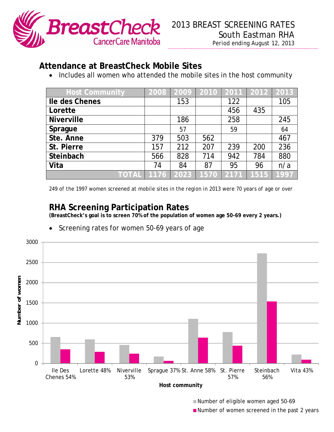

## **Attendance at BreastCheck Mobile Sites**

• Includes all women who attended the mobile sites in the host community

| <b>Host Community</b> | 2008 | 2009 |      |      | 2010 2011 2012 2013 |      |
|-----------------------|------|------|------|------|---------------------|------|
| Ile des Chenes        |      | 153  |      | 122  |                     | 105  |
| Lorette               |      |      |      | 456  | 435                 |      |
| <b>Niverville</b>     |      | 186  |      | 258  |                     | 245  |
| Sprague               |      | 57   |      | 59   |                     | 64   |
| Ste. Anne             | 379  | 503  | 562  |      |                     | 467  |
| St. Pierre            | 157  | 212  | 207  | 239  | 200                 | 236  |
| Steinbach             | 566  | 828  | 714  | 942  | 784                 | 880  |
| Vita                  | 74   | 84   | 87   | 95   | 96                  | n/a  |
| TOTAL   1176          |      | 2023 | 1570 | 2171 | 1515                | 1997 |

*249 of the 1997 women screened at mobile sites in the region in 2013 were 70 years of age or over* 

## **RHA Screening Participation Rates**

**(BreastCheck's goal is to screen 70% of the population of women age 50-69 every 2 years.)** 



Screening rates for women 50-69 years of age

**Example 2** Number of eligible women aged 50-69

**Phyme:** Number of women screened in the past 2 years